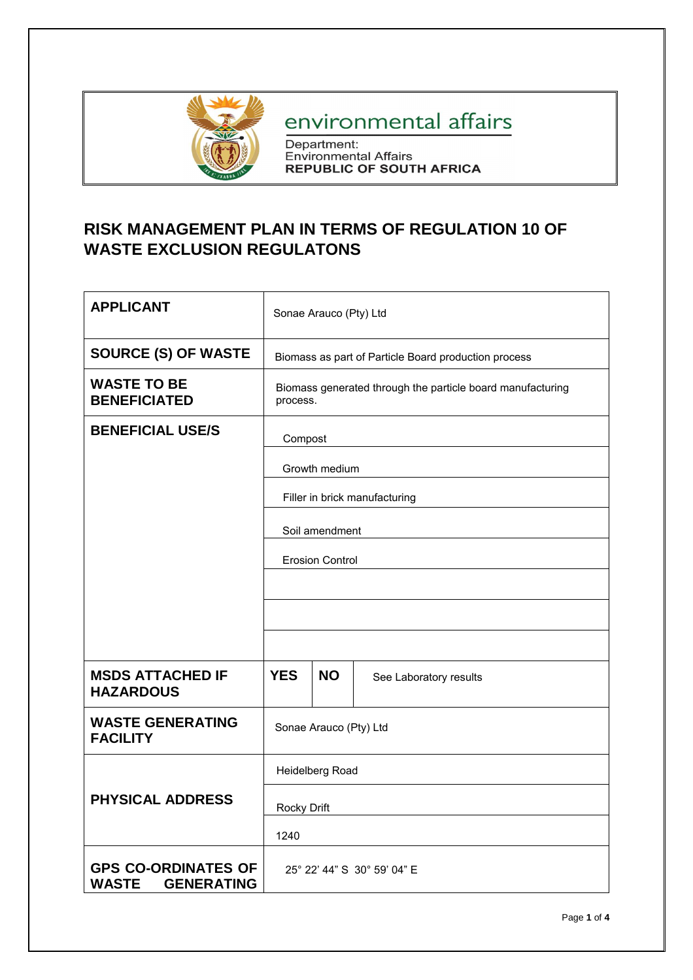

## environmental affairs

Department:<br>Environmental Affairs<br>REPUBLIC OF SOUTH AFRICA

## **RISK MANAGEMENT PLAN IN TERMS OF REGULATION 10 OF WASTE EXCLUSION REGULATONS**

| <b>APPLICANT</b>                                                | Sonae Arauco (Pty) Ltd                                                 |  |  |  |  |
|-----------------------------------------------------------------|------------------------------------------------------------------------|--|--|--|--|
| <b>SOURCE (S) OF WASTE</b>                                      | Biomass as part of Particle Board production process                   |  |  |  |  |
| <b>WASTE TO BE</b><br><b>BENEFICIATED</b>                       | Biomass generated through the particle board manufacturing<br>process. |  |  |  |  |
| <b>BENEFICIAL USE/S</b>                                         | Compost                                                                |  |  |  |  |
|                                                                 | Growth medium                                                          |  |  |  |  |
|                                                                 | Filler in brick manufacturing                                          |  |  |  |  |
|                                                                 | Soil amendment                                                         |  |  |  |  |
|                                                                 | <b>Erosion Control</b>                                                 |  |  |  |  |
|                                                                 |                                                                        |  |  |  |  |
|                                                                 |                                                                        |  |  |  |  |
|                                                                 |                                                                        |  |  |  |  |
| <b>MSDS ATTACHED IF</b><br><b>HAZARDOUS</b>                     | <b>YES</b><br><b>NO</b><br>See Laboratory results                      |  |  |  |  |
| <b>WASTE GENERATING</b><br><b>FACILITY</b>                      | Sonae Arauco (Pty) Ltd                                                 |  |  |  |  |
|                                                                 | Heidelberg Road                                                        |  |  |  |  |
| <b>PHYSICAL ADDRESS</b>                                         | Rocky Drift                                                            |  |  |  |  |
|                                                                 | 1240                                                                   |  |  |  |  |
| <b>GPS CO-ORDINATES OF</b><br><b>WASTE</b><br><b>GENERATING</b> | 25° 22' 44" S 30° 59' 04" E                                            |  |  |  |  |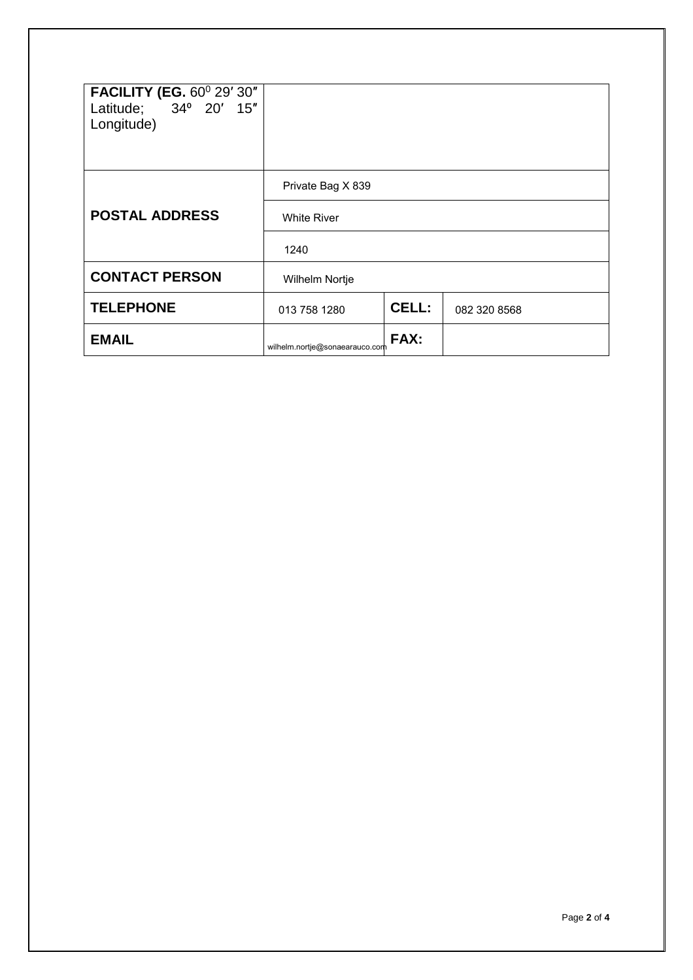| <b>FACILITY (EG. 60° 29' 30"</b><br>Latitude; 34° 20' 15"<br>Longitude) |                                |       |              |  |
|-------------------------------------------------------------------------|--------------------------------|-------|--------------|--|
|                                                                         | Private Bag X 839              |       |              |  |
| <b>POSTAL ADDRESS</b>                                                   | <b>White River</b>             |       |              |  |
|                                                                         | 1240                           |       |              |  |
| <b>CONTACT PERSON</b>                                                   | Wilhelm Nortje                 |       |              |  |
| <b>TELEPHONE</b>                                                        | 013 758 1280                   | CELL: | 082 320 8568 |  |
| <b>EMAIL</b>                                                            | wilhelm.nortje@sonaearauco.com | FAX:  |              |  |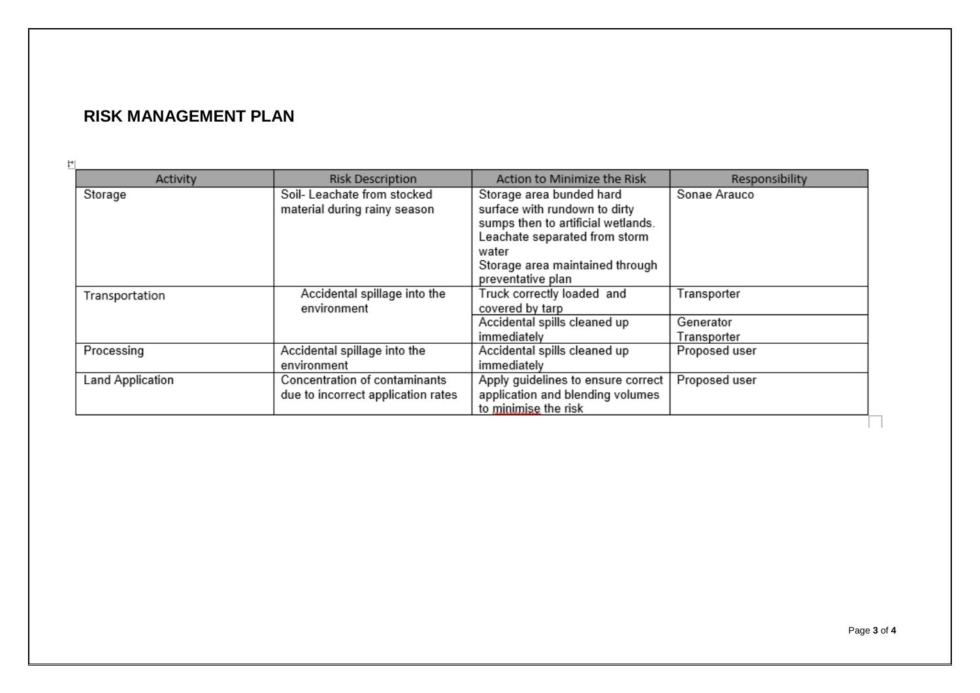## **RISK MANAGEMENT PLAN**

| Activity         | <b>Risk Description</b>            | Action to Minimize the Risk        | Responsibility |
|------------------|------------------------------------|------------------------------------|----------------|
| Storage          | Soil-Leachate from stocked         | Storage area bunded hard           | Sonae Arauco   |
|                  | material during rainy season       | surface with rundown to dirty      |                |
|                  |                                    | sumps then to artificial wetlands. |                |
|                  |                                    | Leachate separated from storm      |                |
|                  |                                    | water                              |                |
|                  |                                    | Storage area maintained through    |                |
|                  |                                    | preventative plan                  |                |
| Transportation   | Accidental spillage into the       | Truck correctly loaded and         | Transporter    |
|                  | environment                        | covered by tarp                    |                |
|                  |                                    | Accidental spills cleaned up       | Generator      |
|                  |                                    | immediately                        | Transporter    |
| Processing       | Accidental spillage into the       | Accidental spills cleaned up       | Proposed user  |
|                  | environment                        | immediately                        |                |
| Land Application | Concentration of contaminants      | Apply guidelines to ensure correct | Proposed user  |
|                  | due to incorrect application rates | application and blending volumes   |                |
|                  |                                    | to minimise the risk               |                |